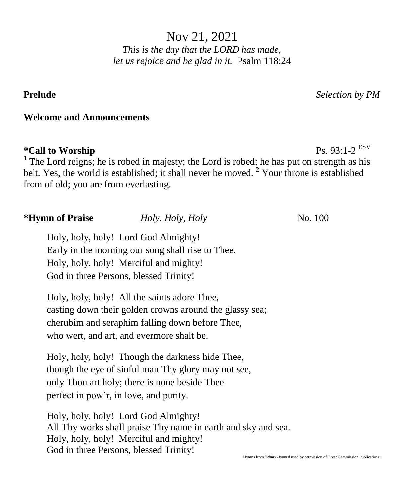Nov 21, 2021 *This is the day that the LORD has made, let us rejoice and be glad in it.* Psalm 118:24

**Prelude** *Selection by PM*

Ps. 93:1-2 ESV

## **Welcome and Announcements**

### $*$ Call to Worship

<sup>1</sup> The Lord reigns; he is robed in majesty; the Lord is robed; he has put on strength as his belt. Yes, the world is established; it shall never be moved. **<sup>2</sup>** Your throne is established from of old; you are from everlasting.

## **\*Hymn of Praise** *Holy, Holy, Holy* **No. 100**

Holy, holy, holy! Lord God Almighty! Early in the morning our song shall rise to Thee. Holy, holy, holy! Merciful and mighty! God in three Persons, blessed Trinity!

Holy, holy, holy! All the saints adore Thee, casting down their golden crowns around the glassy sea; cherubim and seraphim falling down before Thee, who wert, and art, and evermore shalt be.

Holy, holy, holy! Though the darkness hide Thee, though the eye of sinful man Thy glory may not see, only Thou art holy; there is none beside Thee perfect in pow'r, in love, and purity.

Holy, holy, holy! Lord God Almighty! All Thy works shall praise Thy name in earth and sky and sea. Holy, holy, holy! Merciful and mighty! God in three Persons, blessed Trinity!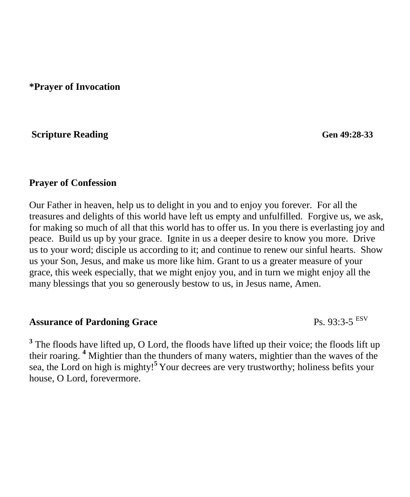**\*Prayer of Invocation** 

**Scripture Reading**<br> **Series Access Gen 49:28-33** 

#### **Prayer of Confession**

Our Father in heaven, help us to delight in you and to enjoy you forever. For all the treasures and delights of this world have left us empty and unfulfilled. Forgive us, we ask, for making so much of all that this world has to offer us. In you there is everlasting joy and peace. Build us up by your grace. Ignite in us a deeper desire to know you more. Drive us to your word; disciple us according to it; and continue to renew our sinful hearts. Show us your Son, Jesus, and make us more like him. Grant to us a greater measure of your grace, this week especially, that we might enjoy you, and in turn we might enjoy all the many blessings that you so generously bestow to us, in Jesus name, Amen.

# **Assurance of Pardoning Grace** Ps. 93:3-5 ESV

<sup>3</sup> The floods have lifted up, O Lord, the floods have lifted up their voice; the floods lift up their roaring. **<sup>4</sup>** Mightier than the thunders of many waters, mightier than the waves of the sea, the Lord on high is mighty!**<sup>5</sup>** Your decrees are very trustworthy; holiness befits your house, O Lord, forevermore.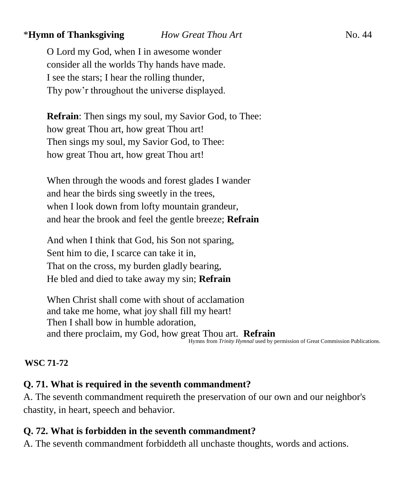## \***Hymn of Thanksgiving** *How Great Thou Art* **No. 44**

O Lord my God, when I in awesome wonder consider all the worlds Thy hands have made. I see the stars; I hear the rolling thunder, Thy pow'r throughout the universe displayed.

**Refrain**: Then sings my soul, my Savior God, to Thee: how great Thou art, how great Thou art! Then sings my soul, my Savior God, to Thee: how great Thou art, how great Thou art!

When through the woods and forest glades I wander and hear the birds sing sweetly in the trees, when I look down from lofty mountain grandeur, and hear the brook and feel the gentle breeze; **Refrain**

And when I think that God, his Son not sparing, Sent him to die, I scarce can take it in, That on the cross, my burden gladly bearing, He bled and died to take away my sin; **Refrain**

When Christ shall come with shout of acclamation and take me home, what joy shall fill my heart! Then I shall bow in humble adoration, and there proclaim, my God, how great Thou art. **Refrain**<br>
Hymns from *Trinity Hymnal* used by permission of Great Commission Publications.

#### **WSC 71-72**

## **Q. 71. What is required in the seventh commandment?**

A. The seventh commandment requireth the preservation of our own and our neighbor's chastity, in heart, speech and behavior.

## **Q. 72. What is forbidden in the seventh commandment?**

A. The seventh commandment forbiddeth all unchaste thoughts, words and actions.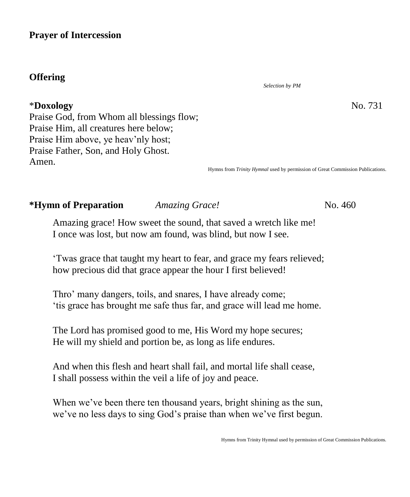### **Prayer of Intercession**

## **Offering**

#### \***Doxology** No. 731

*Selection by PM*

Praise God, from Whom all blessings flow; Praise Him, all creatures here below; Praise Him above, ye heav'nly host; Praise Father, Son, and Holy Ghost. Amen.

Hymns from *Trinity Hymnal* used by permission of Great Commission Publications.

# **\*Hymn of Preparation** *Amazing Grace!* No. 460

Amazing grace! How sweet the sound, that saved a wretch like me! I once was lost, but now am found, was blind, but now I see.

'Twas grace that taught my heart to fear, and grace my fears relieved; how precious did that grace appear the hour I first believed!

Thro' many dangers, toils, and snares, I have already come; 'tis grace has brought me safe thus far, and grace will lead me home.

The Lord has promised good to me, His Word my hope secures; He will my shield and portion be, as long as life endures.

And when this flesh and heart shall fail, and mortal life shall cease, I shall possess within the veil a life of joy and peace.

When we've been there ten thousand years, bright shining as the sun, we've no less days to sing God's praise than when we've first begun.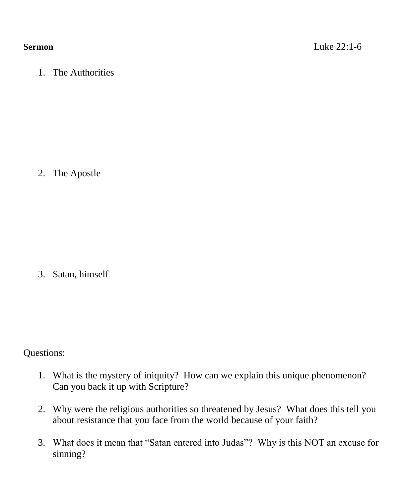1. The Authorities

2. The Apostle

3. Satan, himself

Questions:

- 1. What is the mystery of iniquity? How can we explain this unique phenomenon? Can you back it up with Scripture?
- 2. Why were the religious authorities so threatened by Jesus? What does this tell you about resistance that you face from the world because of your faith?
- 3. What does it mean that "Satan entered into Judas"? Why is this NOT an excuse for sinning?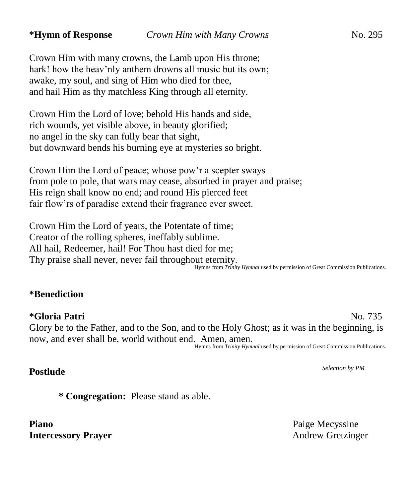Crown Him with many crowns, the Lamb upon His throne; hark! how the heav'nly anthem drowns all music but its own; awake, my soul, and sing of Him who died for thee, and hail Him as thy matchless King through all eternity.

Crown Him the Lord of love; behold His hands and side, rich wounds, yet visible above, in beauty glorified; no angel in the sky can fully bear that sight, but downward bends his burning eye at mysteries so bright.

Crown Him the Lord of peace; whose pow'r a scepter sways from pole to pole, that wars may cease, absorbed in prayer and praise; His reign shall know no end; and round His pierced feet fair flow'rs of paradise extend their fragrance ever sweet.

Crown Him the Lord of years, the Potentate of time; Creator of the rolling spheres, ineffably sublime. All hail, Redeemer, hail! For Thou hast died for me; Thy praise shall never, never fail throughout eternity.

#### Hymns from *Trinity Hymnal* used by permission of Great Commission Publications.

#### **\*Benediction**

#### **\*Gloria Patri** No. 735

Glory be to the Father, and to the Son, and to the Holy Ghost; as it was in the beginning, is now, and ever shall be, world without end. Amen, amen. Hymns from *Trinity Hymnal* used by permission of Great Commission Publications.

**Postlude** *Selection by PM*

**\* Congregation:** Please stand as able.

**Piano** Paige Mecyssine **Intercessory Prayer** Andrew Gretzinger